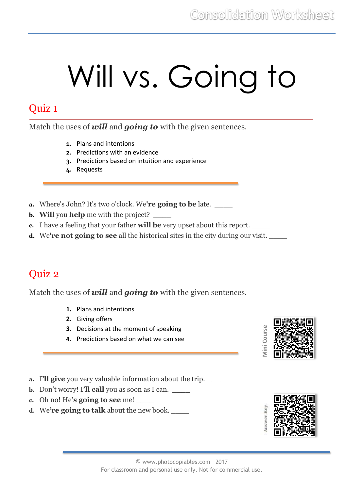# Will vs. Going to

#### Quiz 1

Match the uses of *will* and *going to* with the given sentences.

- **1.** Plans and intentions
- **2.** Predictions with an evidence
- **3.** Predictions based on intuition and experience
- **4.** Requests
- **a.** Where's John? It's two o'clock. We**'re going to be** late. \_\_\_\_
- **b.** Will you **help** me with the project?
- **c.** I have a feeling that your father **will be** very upset about this report. \_\_\_\_
- **d.** We**'re not going to see** all the historical sites in the city during our visit. \_\_\_\_

#### Quiz 2

Match the uses of *will* and *going to* with the given sentences.

- **1.** Plans and intentions
- **2.** Giving offers
- **3.** Decisions at the moment of speaking
- **4.** Predictions based on what we can see
- **a.** I**'ll give** you very valuable information about the trip. \_\_\_\_
- **b.** Don't worry! I'll **call** you as soon as I can.
- **c.** Oh no! He**'s going to see** me! \_\_\_\_
- **d.** We're going to talk about the new book.



**Mini Course**

**Aini Cours** 

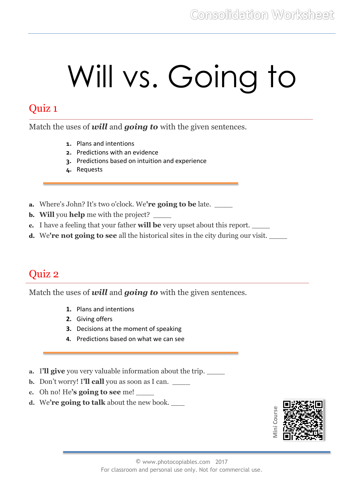# Will vs. Going to

#### Quiz 1

Match the uses of *will* and *going to* with the given sentences.

- **1.** Plans and intentions
- **2.** Predictions with an evidence
- **3.** Predictions based on intuition and experience
- **4.** Requests
- **a.** Where's John? It's two o'clock. We**'re going to be** late. \_\_\_\_
- **b.** Will you **help** me with the project?
- **c.** I have a feeling that your father **will be** very upset about this report. \_\_\_\_
- **d.** We**'re not going to see** all the historical sites in the city during our visit. \_\_\_\_

### Quiz 2

Match the uses of *will* and *going to* with the given sentences.

- **1.** Plans and intentions
- **2.** Giving offers
- **3.** Decisions at the moment of speaking
- **4.** Predictions based on what we can see
- **a.** I'll give you very valuable information about the trip. \_\_\_\_\_
- **b.** Don't worry! I'll **call** you as soon as I can.
- **c.** Oh no! He**'s going to see** me! \_\_\_\_
- **d.** We**'re going to talk** about the new book. \_\_\_